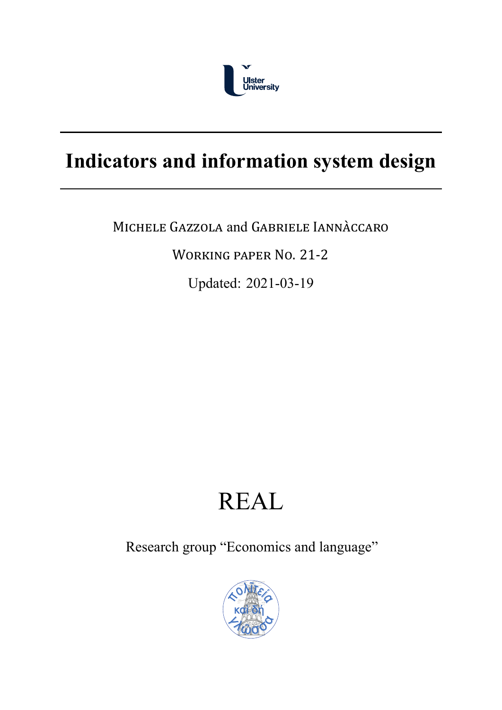

# **Indicators and information system design**

MICHELE GAZZOLA and GABRIELE IANNÀCCARO

WORKING PAPER NO. 21‐2

Updated: 2021-03-19

# REAL

Research group "Economics and language"

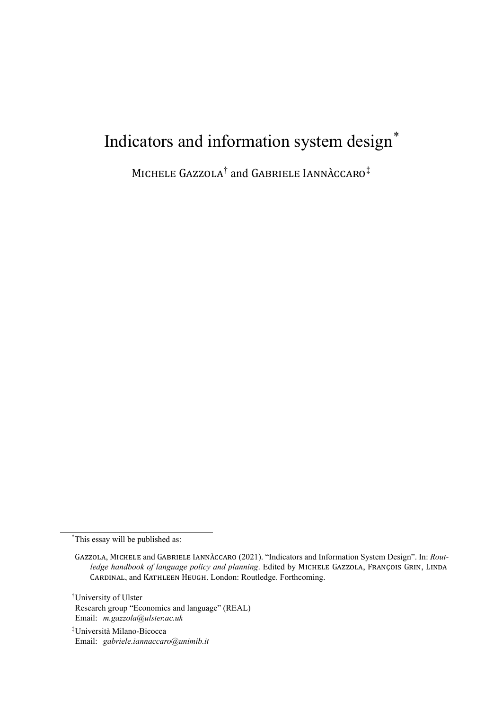# Indicators and information system design\*

MICHELE GAZZOLA<sup>†</sup> and GABRIELE IANNACCARO<sup>‡</sup>

\*This essay will be published as:

†University of Ulster Research group "Economics and language" (REAL) Email: *m.gazzola@ulster.ac.uk*

 $*$ Università Milano-Bicocca Email: *gabriele.iannaccaro@unimib.it*

GAZZOLA, MICHELE and GABRIELE IANNÀCCARO (2021). "Indicators and Information System Design". In: *Routledge handbook of language policy and planning*. Edited by MICHELE GAZZOLA, FRANÇOIS GRIN, LINDA CARDINAL, and KATHLEEN HEUGH. London: Routledge. Forthcoming.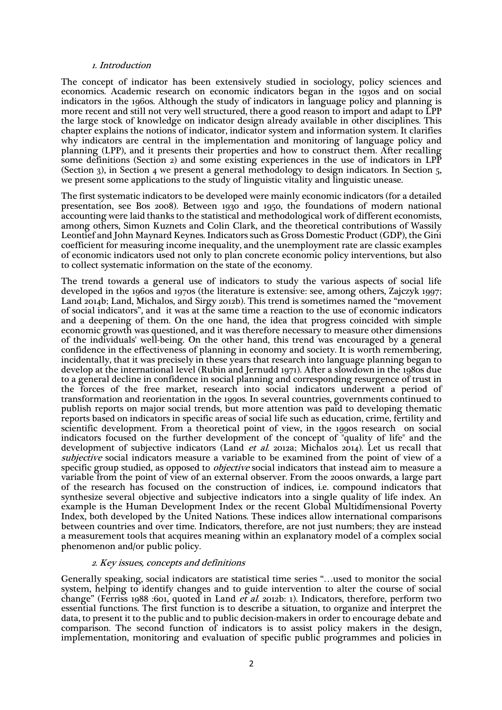#### 1. Introduction

The concept of indicator has been extensively studied in sociology, policy sciences and economics. Academic research on economic indicators began in the 1930s and on social indicators in the 1960s. Although the study of indicators in language policy and planning is more recent and still not very well structured, there a good reason to import and adapt to LPP the large stock of knowledge on indicator design already available in other disciplines. This chapter explains the notions of indicator, indicator system and information system. It clarifies why indicators are central in the implementation and monitoring of language policy and planning (LPP), and it presents their properties and how to construct them. After recalling some definitions (Section 2) and some existing experiences in the use of indicators in LPP (Section 3), in Section 4 we present a general methodology to design indicators. In Section 5, we present some applications to the study of linguistic vitality and linguistic unease.

The first systematic indicators to be developed were mainly economic indicators (for a detailed presentation, see Bos 2008). Between 1930 and 1950, the foundations of modern national accounting were laid thanks to the statistical and methodological work of different economists, among others, Simon Kuznets and Colin Clark, and the theoretical contributions of Wassily Leontief and John Maynard Keynes. Indicators such as Gross Domestic Product (GDP), the Gini coefficient for measuring income inequality, and the unemployment rate are classic examples of economic indicators used not only to plan concrete economic policy interventions, but also to collect systematic information on the state of the economy.

The trend towards a general use of indicators to study the various aspects of social life developed in the 1960s and 1970s (the literature is extensive: see, among others, Zajczyk 1997; Land 2014b; Land, Michalos, and Sirgy 2012b). This trend is sometimes named the "movement of social indicators", and it was at the same time a reaction to the use of economic indicators and a deepening of them. On the one hand, the idea that progress coincided with simple economic growth was questioned, and it was therefore necessary to measure other dimensions of the individuals' well-being. On the other hand, this trend was encouraged by a general confidence in the effectiveness of planning in economy and society. It is worth remembering, incidentally, that it was precisely in these years that research into language planning began to develop at the international level (Rubin and Jernudd 1971). After a slowdown in the 1980s due to a general decline in confidence in social planning and corresponding resurgence of trust in the forces of the free market, research into social indicators underwent a period of transformation and reorientation in the 1990s. In several countries, governments continued to publish reports on major social trends, but more attention was paid to developing thematic reports based on indicators in specific areas of social life such as education, crime, fertility and scientific development. From a theoretical point of view, in the 1990s research on social indicators focused on the further development of the concept of "quality of life" and the development of subjective indicators (Land *et al.* 2012a; Michalos 2014). Let us recall that subjective social indicators measure a variable to be examined from the point of view of a specific group studied, as opposed to *objective* social indicators that instead aim to measure a variable from the point of view of an external observer. From the 2000s onwards, a large part of the research has focused on the construction of indices, i.e. compound indicators that synthesize several objective and subjective indicators into a single quality of life index. An example is the Human Development Index or the recent Global Multidimensional Poverty Index, both developed by the United Nations. These indices allow international comparisons between countries and over time. Indicators, therefore, are not just numbers; they are instead a measurement tools that acquires meaning within an explanatory model of a complex social phenomenon and/or public policy.

### 2. Key issues, concepts and definitions

Generally speaking, social indicators are statistical time series "…used to monitor the social system, helping to identify changes and to guide intervention to alter the course of social change" (Ferriss 1988 :601, quoted in Land et al. 2012b: 1). Indicators, therefore, perform two essential functions. The first function is to describe a situation, to organize and interpret the data, to present it to the public and to public decision-makers in order to encourage debate and comparison. The second function of indicators is to assist policy makers in the design, implementation, monitoring and evaluation of specific public programmes and policies in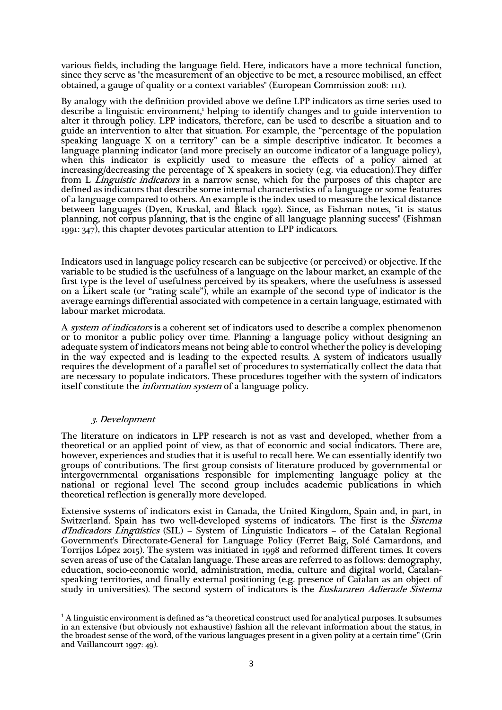various fields, including the language field. Here, indicators have a more technical function, since they serve as "the measurement of an objective to be met, a resource mobilised, an effect obtained, a gauge of quality or a context variables" (European Commission 2008: 111).

By analogy with the definition provided above we define LPP indicators as time series used to describe a linguistic environment,<sup>1</sup> helping to identify changes and to guide intervention to alter it through policy. LPP indicators, therefore, can be used to describe a situation and to guide an intervention to alter that situation. For example, the "percentage of the population speaking language X on a territory" can be a simple descriptive indicator. It becomes a language planning indicator (and more precisely an outcome indicator of a language policy), when this indicator is explicitly used to measure the effects of a policy aimed at increasing/decreasing the percentage of X speakers in society (e.g. via education).They differ from L Linguistic indicators in a narrow sense, which for the purposes of this chapter are defined as indicators that describe some internal characteristics of a language or some features of a language compared to others. An example is the index used to measure the lexical distance between languages (Dyen, Kruskal, and Black 1992). Since, as Fishman notes, "it is status planning, not corpus planning, that is the engine of all language planning success" (Fishman 1991: 347), this chapter devotes particular attention to LPP indicators.

Indicators used in language policy research can be subjective (or perceived) or objective. If the variable to be studied is the usefulness of a language on the labour market, an example of the first type is the level of usefulness perceived by its speakers, where the usefulness is assessed on a Likert scale (or "rating scale"), while an example of the second type of indicator is the average earnings differential associated with competence in a certain language, estimated with labour market microdata.

A *system of indicators* is a coherent set of indicators used to describe a complex phenomenon or to monitor a public policy over time. Planning a language policy without designing an adequate system of indicators means not being able to control whether the policy is developing in the way expected and is leading to the expected results. A system of indicators usually requires the development of a parallel set of procedures to systematically collect the data that are necessary to populate indicators. These procedures together with the system of indicators itself constitute the *information system* of a language policy.

# 3. Development

The literature on indicators in LPP research is not as vast and developed, whether from a theoretical or an applied point of view, as that of economic and social indicators. There are, however, experiences and studies that it is useful to recall here. We can essentially identify two groups of contributions. The first group consists of literature produced by governmental or intergovernmental organisations responsible for implementing language policy at the national or regional level The second group includes academic publications in which theoretical reflection is generally more developed.

Extensive systems of indicators exist in Canada, the United Kingdom, Spain and, in part, in Switzerland. Spain has two well-developed systems of indicators. The first is the Sistema  $d'Indicadors$  *Lingüístics* (SIL) – System of Linguistic Indicators – of the Catalan Regional Government's Directorate-General for Language Policy (Ferret Baig, Solé Camardons, and Torrijos López 2015). The system was initiated in 1998 and reformed different times. It covers seven areas of use of the Catalan language. These areas are referred to as follows: demography, education, socio-economic world, administration, media, culture and digital world, Catalanspeaking territories, and finally external positioning (e.g. presence of Catalan as an object of study in universities). The second system of indicators is the *Euskararen Adierazle Sistema* 

<sup>&</sup>lt;sup>1</sup> A linguistic environment is defined as "a theoretical construct used for analytical purposes. It subsumes in an extensive (but obviously not exhaustive) fashion all the relevant information about the status, in the broadest sense of the word, of the various languages present in a given polity at a certain time" (Grin and Vaillancourt 1997: 49).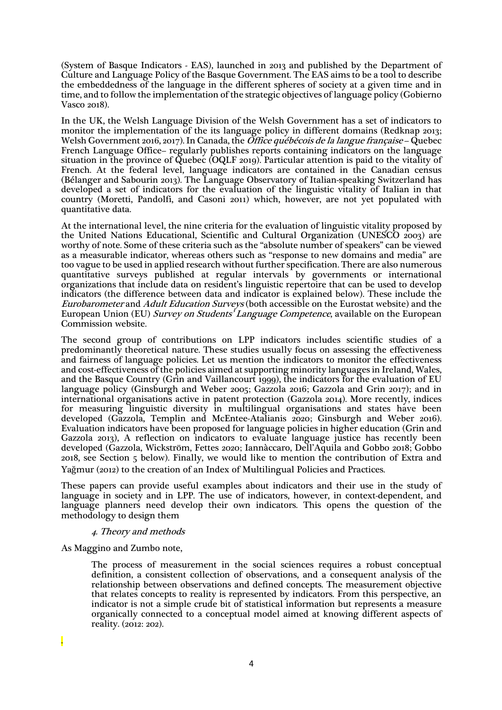(System of Basque Indicators - EAS), launched in 2013 and published by the Department of Culture and Language Policy of the Basque Government. The EAS aims to be a tool to describe the embeddedness of the language in the different spheres of society at a given time and in time, and to follow the implementation of the strategic objectives of language policy (Gobierno Vasco 2018).

In the UK, the Welsh Language Division of the Welsh Government has a set of indicators to monitor the implementation of the its language policy in different domains (Redknap 2013; Welsh Government 2016, 2017). In Canada, the *Office québécois de la langue française* – Quebec French Language Office– regularly publishes reports containing indicators on the language situation in the province of Quebec (OQLF 2019). Particular attention is paid to the vitality of French. At the federal level, language indicators are contained in the Canadian census (Bélanger and Sabourin 2013). The Language Observatory of Italian-speaking Switzerland has developed a set of indicators for the evaluation of the linguistic vitality of Italian in that country (Moretti, Pandolfi, and Casoni 2011) which, however, are not yet populated with quantitative data.

At the international level, the nine criteria for the evaluation of linguistic vitality proposed by the United Nations Educational, Scientific and Cultural Organization (UNESCO 2003) are worthy of note. Some of these criteria such as the "absolute number of speakers" can be viewed as a measurable indicator, whereas others such as "response to new domains and media" are too vague to be used in applied research without further specification. There are also numerous quantitative surveys published at regular intervals by governments or international organizations that include data on resident's linguistic repertoire that can be used to develop indicators (the difference between data and indicator is explained below). These include the Eurobarometer and Adult Education Surveys (both accessible on the Eurostat website) and the European Union (EU) Survey on Students' Language Competence, available on the European Commission website.

The second group of contributions on LPP indicators includes scientific studies of a predominantly theoretical nature. These studies usually focus on assessing the effectiveness and fairness of language policies. Let us mention the indicators to monitor the effectiveness and cost-effectiveness of the policies aimed at supporting minority languages in Ireland, Wales, and the Basque Country (Grin and Vaillancourt 1999), the indicators for the evaluation of EU language policy (Ginsburgh and Weber 2005; Gazzola 2016; Gazzola and Grin 2017); and in international organisations active in patent protection (Gazzola 2014). More recently, indices for measuring linguistic diversity in multilingual organisations and states have been developed (Gazzola, Templin and McEntee-Atalianis 2020; Ginsburgh and Weber 2016). Evaluation indicators have been proposed for language policies in higher education (Grin and Gazzola 2013), A reflection on indicators to evaluate language justice has recently been developed (Gazzola, Wickström, Fettes 2020; Iannàccaro, Dell'Aquila and Gobbo 2018; Gobbo 2018, see Section 5 below). Finally, we would like to mention the contribution of Extra and Yağmur (2012) to the creation of an Index of Multilingual Policies and Practices.

These papers can provide useful examples about indicators and their use in the study of language in society and in LPP. The use of indicators, however, in context-dependent, and language planners need develop their own indicators. This opens the question of the methodology to design them

# 4. Theory and methods

As Maggino and Zumbo note,

The process of measurement in the social sciences requires a robust conceptual definition, a consistent collection of observations, and a consequent analysis of the relationship between observations and defined concepts. The measurement objective that relates concepts to reality is represented by indicators. From this perspective, an indicator is not a simple crude bit of statistical information but represents a measure organically connected to a conceptual model aimed at knowing different aspects of reality. (2012: 202).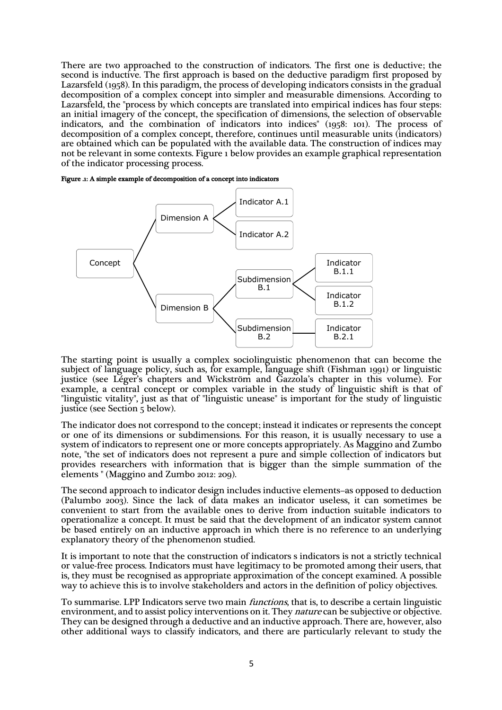There are two approached to the construction of indicators. The first one is deductive; the second is inductive. The first approach is based on the deductive paradigm first proposed by Lazarsfeld (1958). In this paradigm, the process of developing indicators consists in the gradual decomposition of a complex concept into simpler and measurable dimensions. According to Lazarsfeld, the "process by which concepts are translated into empirical indices has four steps: an initial imagery of the concept, the specification of dimensions, the selection of observable indicators, and the combination of indicators into indices" (1958: 101). The process of decomposition of a complex concept, therefore, continues until measurable units (indicators) are obtained which can be populated with the available data. The construction of indices may not be relevant in some contexts. Figure 1 below provides an example graphical representation of the indicator processing process.





The starting point is usually a complex sociolinguistic phenomenon that can become the subject of language policy, such as, for example, language shift (Fishman 1991) or linguistic justice (see Léger's chapters and Wickström and Gazzola's chapter in this volume). For example, a central concept or complex variable in the study of linguistic shift is that of "linguistic vitality", just as that of "linguistic unease" is important for the study of linguistic justice (see Section 5 below).

The indicator does not correspond to the concept; instead it indicates or represents the concept or one of its dimensions or subdimensions. For this reason, it is usually necessary to use a system of indicators to represent one or more concepts appropriately. As Maggino and Zumbo note, "the set of indicators does not represent a pure and simple collection of indicators but provides researchers with information that is bigger than the simple summation of the elements " (Maggino and Zumbo 2012: 209).

The second approach to indicator design includes inductive elements–as opposed to deduction (Palumbo 2003). Since the lack of data makes an indicator useless, it can sometimes be convenient to start from the available ones to derive from induction suitable indicators to operationalize a concept. It must be said that the development of an indicator system cannot be based entirely on an inductive approach in which there is no reference to an underlying explanatory theory of the phenomenon studied.

It is important to note that the construction of indicators s indicators is not a strictly technical or value-free process. Indicators must have legitimacy to be promoted among their users, that is, they must be recognised as appropriate approximation of the concept examined. A possible way to achieve this is to involve stakeholders and actors in the definition of policy objectives.

To summarise. LPP Indicators serve two main functions, that is, to describe a certain linguistic environment, and to assist policy interventions on it. They *nature* can be subjective or objective. They can be designed through a deductive and an inductive approach. There are, however, also other additional ways to classify indicators, and there are particularly relevant to study the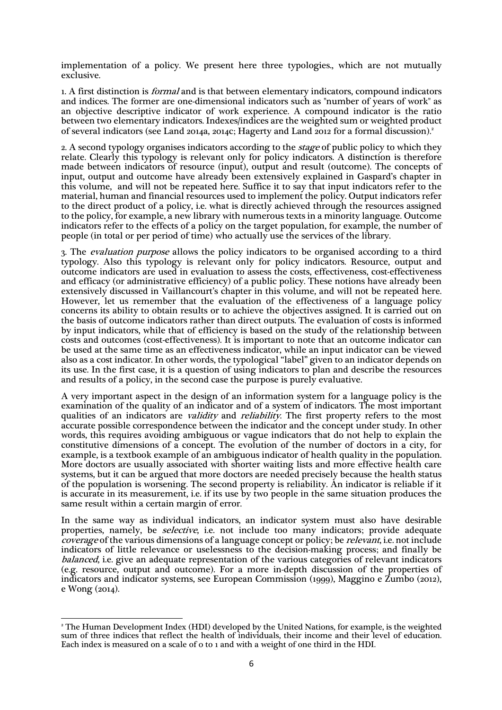implementation of a policy. We present here three typologies., which are not mutually exclusive.

1. A first distinction is formal and is that between elementary indicators, compound indicators and indices. The former are one-dimensional indicators such as "number of years of work" as an objective descriptive indicator of work experience. A compound indicator is the ratio between two elementary indicators. Indexes/indices are the weighted sum or weighted product of several indicators (see Land 2014a, 2014c; Hagerty and Land 2012 for a formal discussion).2

2. A second typology organises indicators according to the *stage* of public policy to which they relate. Clearly this typology is relevant only for policy indicators. A distinction is therefore made between indicators of resource (input), output and result (outcome). The concepts of input, output and outcome have already been extensively explained in Gaspard's chapter in this volume, and will not be repeated here. Suffice it to say that input indicators refer to the material, human and financial resources used to implement the policy. Output indicators refer to the direct product of a policy, i.e. what is directly achieved through the resources assigned to the policy, for example, a new library with numerous texts in a minority language. Outcome indicators refer to the effects of a policy on the target population, for example, the number of people (in total or per period of time) who actually use the services of the library.

3. The evaluation purpose allows the policy indicators to be organised according to a third typology. Also this typology is relevant only for policy indicators. Resource, output and outcome indicators are used in evaluation to assess the costs, effectiveness, cost-effectiveness and efficacy (or administrative efficiency) of a public policy. These notions have already been extensively discussed in Vaillancourt's chapter in this volume, and will not be repeated here. However, let us remember that the evaluation of the effectiveness of a language policy concerns its ability to obtain results or to achieve the objectives assigned. It is carried out on the basis of outcome indicators rather than direct outputs. The evaluation of costs is informed by input indicators, while that of efficiency is based on the study of the relationship between costs and outcomes (cost-effectiveness). It is important to note that an outcome indicator can be used at the same time as an effectiveness indicator, while an input indicator can be viewed also as a cost indicator. In other words, the typological "label" given to an indicator depends on its use. In the first case, it is a question of using indicators to plan and describe the resources and results of a policy, in the second case the purpose is purely evaluative.

A very important aspect in the design of an information system for a language policy is the examination of the quality of an indicator and of a system of indicators. The most important qualities of an indicators are *validity* and *reliability*. The first property refers to the most accurate possible correspondence between the indicator and the concept under study. In other words, this requires avoiding ambiguous or vague indicators that do not help to explain the constitutive dimensions of a concept. The evolution of the number of doctors in a city, for example, is a textbook example of an ambiguous indicator of health quality in the population. More doctors are usually associated with shorter waiting lists and more effective health care systems, but it can be argued that more doctors are needed precisely because the health status of the population is worsening. The second property is reliability. An indicator is reliable if it is accurate in its measurement, i.e. if its use by two people in the same situation produces the same result within a certain margin of error.

In the same way as individual indicators, an indicator system must also have desirable properties, namely, be *selective*, i.e. not include too many indicators; provide adequate coverage of the various dimensions of a language concept or policy; be *relevant*, i.e. not include indicators of little relevance or uselessness to the decision-making process; and finally be balanced, i.e. give an adequate representation of the various categories of relevant indicators (e.g. resource, output and outcome). For a more in-depth discussion of the properties of indicators and indicator systems, see European Commission (1999), Maggino e Zumbo (2012), e Wong (2014).

<sup>2</sup> The Human Development Index (HDI) developed by the United Nations, for example, is the weighted sum of three indices that reflect the health of individuals, their income and their level of education. Each index is measured on a scale of 0 to 1 and with a weight of one third in the HDI.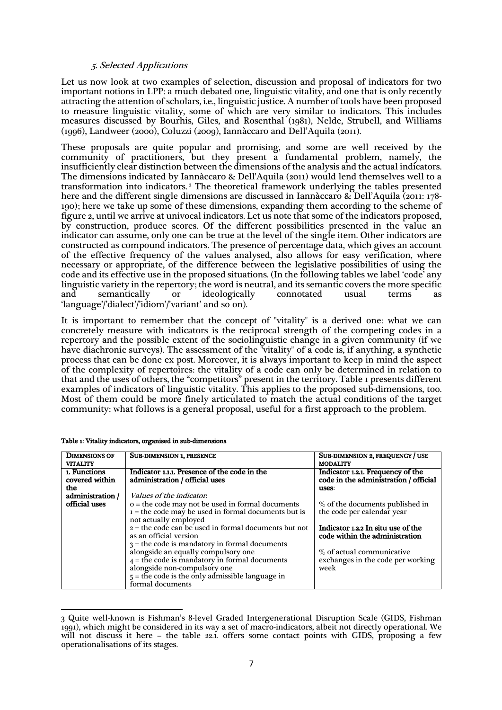## 5. Selected Applications

Let us now look at two examples of selection, discussion and proposal of indicators for two important notions in LPP: a much debated one, linguistic vitality, and one that is only recently attracting the attention of scholars, i.e., linguistic justice. A number of tools have been proposed to measure linguistic vitality, some of which are very similar to indicators. This includes measures discussed by Bourhis, Giles, and Rosenthal (1981), Nelde, Strubell, and Williams (1996), Landweer (2000), Coluzzi (2009), Iannàccaro and Dell'Aquila (2011).

These proposals are quite popular and promising, and some are well received by the community of practitioners, but they present a fundamental problem, namely, the insufficiently clear distinction between the dimensions of the analysis and the actual indicators. The dimensions indicated by Iannàccaro & Dell'Aquila (2011) would lend themselves well to a transformation into indicators. <sup>3</sup> The theoretical framework underlying the tables presented here and the different single dimensions are discussed in Iannàccaro & Dell'Aquila (2011: 178- 190); here we take up some of these dimensions, expanding them according to the scheme of figure 2, until we arrive at univocal indicators. Let us note that some of the indicators proposed, by construction, produce scores. Of the different possibilities presented in the value an indicator can assume, only one can be true at the level of the single item. Other indicators are constructed as compound indicators. The presence of percentage data, which gives an account of the effective frequency of the values analysed, also allows for easy verification, where necessary or appropriate, of the difference between the legislative possibilities of using the code and its effective use in the proposed situations. (In the following tables we label 'code' any linguistic variety in the repertory; the word is neutral, and its semantic covers the more specific ideologically connotated usual terms as 'language'/'dialect'/'idiom'/'variant' and so on).

It is important to remember that the concept of "vitality" is a derived one: what we can concretely measure with indicators is the reciprocal strength of the competing codes in a repertory and the possible extent of the sociolinguistic change in a given community (if we have diachronic surveys). The assessment of the "vitality" of a code is, if anything, a synthetic process that can be done ex post. Moreover, it is always important to keep in mind the aspect of the complexity of repertoires: the vitality of a code can only be determined in relation to that and the uses of others, the "competitors" present in the territory. Table 1 presents different examples of indicators of linguistic vitality. This applies to the proposed sub-dimensions, too. Most of them could be more finely articulated to match the actual conditions of the target community: what follows is a general proposal, useful for a first approach to the problem.

| <b>DIMENSIONS OF</b> | <b>SUB-DIMENSION 1, PRESENCE</b>                       | <b>SUB-DIMENSION 2, FREQUENCY / USE</b>                        |  |
|----------------------|--------------------------------------------------------|----------------------------------------------------------------|--|
| <b>VITALITY</b>      |                                                        | <b>MODALITY</b>                                                |  |
| 1. Functions         | Indicator 1.1.1. Presence of the code in the           | Indicator 1.2.1. Frequency of the                              |  |
| covered within       | administration / official uses                         | code in the administration / official                          |  |
| the                  |                                                        | uses:                                                          |  |
| administration /     | Values of the indicator.                               |                                                                |  |
| official uses        | $o$ = the code may not be used in formal documents     | % of the documents published in                                |  |
|                      | $1 =$ the code may be used in formal documents but is  | the code per calendar year                                     |  |
|                      | not actually employed                                  |                                                                |  |
|                      | $2 =$ the code can be used in formal documents but not | Indicator 1.2.2 In situ use of the                             |  |
|                      | as an official version                                 | code within the administration                                 |  |
|                      | $3$ = the code is mandatory in formal documents        |                                                                |  |
|                      | alongside an equally compulsory one                    | % of actual communicative<br>exchanges in the code per working |  |
|                      | $4$ = the code is mandatory in formal documents        |                                                                |  |
|                      | alongside non-compulsory one                           | week                                                           |  |
|                      | $5$ = the code is the only admissible language in      |                                                                |  |
|                      | formal documents                                       |                                                                |  |

|  | Table 1: Vitality indicators, organised in sub-dimensions |
|--|-----------------------------------------------------------|
|--|-----------------------------------------------------------|

<sup>3</sup> Quite well-known is Fishman's 8-level Graded Intergenerational Disruption Scale (GIDS, Fishman 1991), which might be considered in its way a set of macro-indicators, albeit not directly operational. We will not discuss it here – the table 22.1. offers some contact points with GIDS, proposing a few operationalisations of its stages.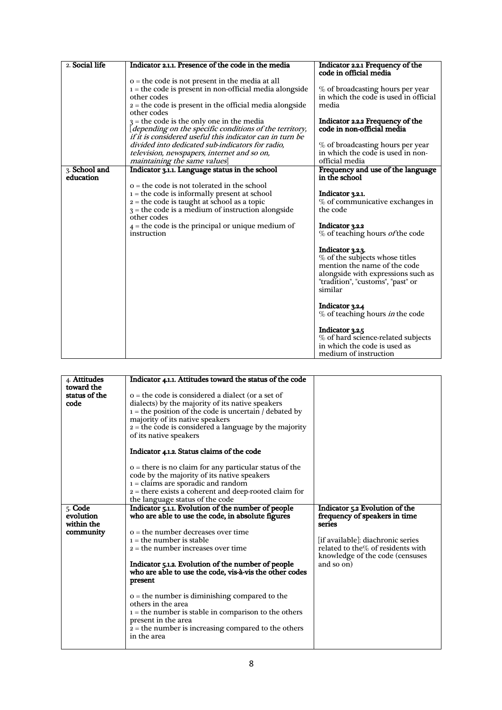| 2. Social life<br>Indicator 2.1.1. Presence of the code in the media<br>Indicator 2.2.1 Frequency of the<br>code in official media<br>$o$ = the code is not present in the media at all<br>$i =$ the code is present in non-official media alongside<br>% of broadcasting hours per year<br>in which the code is used in official<br>other codes<br>$2 =$ the code is present in the official media alongside<br>media<br>other codes<br>Indicator 2.2.2 Frequency of the<br>$3$ = the code is the only one in the media<br>[depending on the specific conditions of the territory,<br>code in non-official media<br>if it is considered useful this indicator can in turn be<br>divided into dedicated sub-indicators for radio,<br>% of broadcasting hours per year |
|-----------------------------------------------------------------------------------------------------------------------------------------------------------------------------------------------------------------------------------------------------------------------------------------------------------------------------------------------------------------------------------------------------------------------------------------------------------------------------------------------------------------------------------------------------------------------------------------------------------------------------------------------------------------------------------------------------------------------------------------------------------------------|
|                                                                                                                                                                                                                                                                                                                                                                                                                                                                                                                                                                                                                                                                                                                                                                       |
|                                                                                                                                                                                                                                                                                                                                                                                                                                                                                                                                                                                                                                                                                                                                                                       |
|                                                                                                                                                                                                                                                                                                                                                                                                                                                                                                                                                                                                                                                                                                                                                                       |
|                                                                                                                                                                                                                                                                                                                                                                                                                                                                                                                                                                                                                                                                                                                                                                       |
|                                                                                                                                                                                                                                                                                                                                                                                                                                                                                                                                                                                                                                                                                                                                                                       |
|                                                                                                                                                                                                                                                                                                                                                                                                                                                                                                                                                                                                                                                                                                                                                                       |
|                                                                                                                                                                                                                                                                                                                                                                                                                                                                                                                                                                                                                                                                                                                                                                       |
|                                                                                                                                                                                                                                                                                                                                                                                                                                                                                                                                                                                                                                                                                                                                                                       |
|                                                                                                                                                                                                                                                                                                                                                                                                                                                                                                                                                                                                                                                                                                                                                                       |
|                                                                                                                                                                                                                                                                                                                                                                                                                                                                                                                                                                                                                                                                                                                                                                       |
| in which the code is used in non-<br>television, newspapers, internet and so on,                                                                                                                                                                                                                                                                                                                                                                                                                                                                                                                                                                                                                                                                                      |
| maintaining the same values<br>official media                                                                                                                                                                                                                                                                                                                                                                                                                                                                                                                                                                                                                                                                                                                         |
| 3. School and<br>Indicator 3.1.1. Language status in the school<br>Frequency and use of the language                                                                                                                                                                                                                                                                                                                                                                                                                                                                                                                                                                                                                                                                  |
| education<br>in the school                                                                                                                                                                                                                                                                                                                                                                                                                                                                                                                                                                                                                                                                                                                                            |
| o = the code is not tolerated in the school                                                                                                                                                                                                                                                                                                                                                                                                                                                                                                                                                                                                                                                                                                                           |
| $1 =$ the code is informally present at school<br>Indicator 3.2.1.                                                                                                                                                                                                                                                                                                                                                                                                                                                                                                                                                                                                                                                                                                    |
| $2 =$ the code is taught at school as a topic<br>% of communicative exchanges in                                                                                                                                                                                                                                                                                                                                                                                                                                                                                                                                                                                                                                                                                      |
| $3$ = the code is a medium of instruction alongside<br>the code                                                                                                                                                                                                                                                                                                                                                                                                                                                                                                                                                                                                                                                                                                       |
| other codes                                                                                                                                                                                                                                                                                                                                                                                                                                                                                                                                                                                                                                                                                                                                                           |
| $4$ = the code is the principal or unique medium of<br>Indicator 3.2.2                                                                                                                                                                                                                                                                                                                                                                                                                                                                                                                                                                                                                                                                                                |
| % of teaching hours <i>of</i> the code<br>instruction                                                                                                                                                                                                                                                                                                                                                                                                                                                                                                                                                                                                                                                                                                                 |
|                                                                                                                                                                                                                                                                                                                                                                                                                                                                                                                                                                                                                                                                                                                                                                       |
| Indicator 3.2.3.                                                                                                                                                                                                                                                                                                                                                                                                                                                                                                                                                                                                                                                                                                                                                      |
| % of the subjects whose titles                                                                                                                                                                                                                                                                                                                                                                                                                                                                                                                                                                                                                                                                                                                                        |
| mention the name of the code                                                                                                                                                                                                                                                                                                                                                                                                                                                                                                                                                                                                                                                                                                                                          |
| alongside with expressions such as                                                                                                                                                                                                                                                                                                                                                                                                                                                                                                                                                                                                                                                                                                                                    |
| "tradition", "customs", "past" or                                                                                                                                                                                                                                                                                                                                                                                                                                                                                                                                                                                                                                                                                                                                     |
| similar                                                                                                                                                                                                                                                                                                                                                                                                                                                                                                                                                                                                                                                                                                                                                               |
|                                                                                                                                                                                                                                                                                                                                                                                                                                                                                                                                                                                                                                                                                                                                                                       |
| Indicator 3.2.4<br>% of teaching hours <i>in</i> the code                                                                                                                                                                                                                                                                                                                                                                                                                                                                                                                                                                                                                                                                                                             |
|                                                                                                                                                                                                                                                                                                                                                                                                                                                                                                                                                                                                                                                                                                                                                                       |
| Indicator 3.2.5                                                                                                                                                                                                                                                                                                                                                                                                                                                                                                                                                                                                                                                                                                                                                       |
| % of hard science-related subjects                                                                                                                                                                                                                                                                                                                                                                                                                                                                                                                                                                                                                                                                                                                                    |
| in which the code is used as                                                                                                                                                                                                                                                                                                                                                                                                                                                                                                                                                                                                                                                                                                                                          |
| medium of instruction                                                                                                                                                                                                                                                                                                                                                                                                                                                                                                                                                                                                                                                                                                                                                 |

| 4. Attitudes                        | Indicator 4.1.1. Attitudes toward the status of the code                                                                                                                                                                                                                                    |                                                                                                                         |  |  |
|-------------------------------------|---------------------------------------------------------------------------------------------------------------------------------------------------------------------------------------------------------------------------------------------------------------------------------------------|-------------------------------------------------------------------------------------------------------------------------|--|--|
|                                     |                                                                                                                                                                                                                                                                                             |                                                                                                                         |  |  |
| toward the<br>status of the<br>code | $o$ = the code is considered a dialect (or a set of<br>dialects) by the majority of its native speakers<br>$i =$ the position of the code is uncertain / debated by<br>majority of its native speakers<br>$2 =$ the code is considered a language by the majority<br>of its native speakers |                                                                                                                         |  |  |
|                                     | Indicator 4.1.2. Status claims of the code                                                                                                                                                                                                                                                  |                                                                                                                         |  |  |
|                                     | $o$ = there is no claim for any particular status of the<br>code by the majority of its native speakers<br>$i =$ claims are sporadic and random<br>$2$ = there exists a coherent and deep-rooted claim for<br>the language status of the code                                               |                                                                                                                         |  |  |
| 5. Code<br>evolution<br>within the  | Indicator 5.1.1. Evolution of the number of people<br>who are able to use the code, in absolute figures                                                                                                                                                                                     | Indicator 5.2 Evolution of the<br>frequency of speakers in time<br>series                                               |  |  |
| community                           | $o$ = the number decreases over time<br>$1 =$ the number is stable<br>$2 =$ the number increases over time<br>Indicator 5.1.2. Evolution of the number of people<br>who are able to use the code, vis-à-vis the other codes<br>present                                                      | [if available]: diachronic series<br>related to the% of residents with<br>knowledge of the code (censuses<br>and so on) |  |  |
|                                     | $o$ = the number is diminishing compared to the<br>others in the area<br>$i =$ the number is stable in comparison to the others<br>present in the area<br>$\overline{2}$ = the number is increasing compared to the others                                                                  |                                                                                                                         |  |  |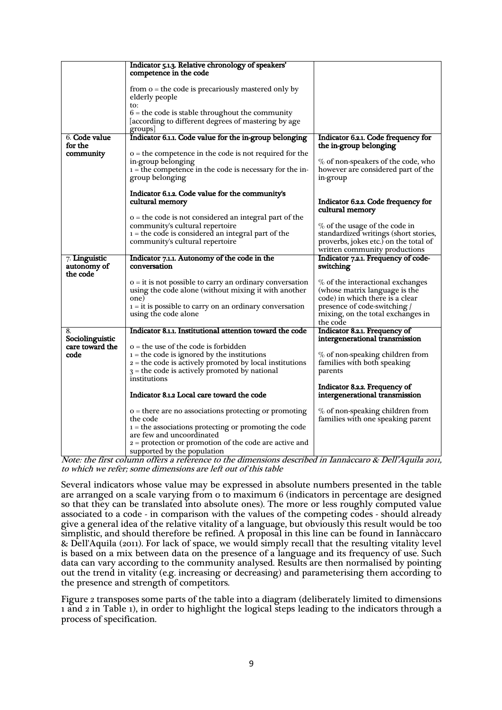|                 | Indicator 5.1.3. Relative chronology of speakers'<br>competence in the code             |                                                                        |  |
|-----------------|-----------------------------------------------------------------------------------------|------------------------------------------------------------------------|--|
|                 | from $o$ = the code is precariously mastered only by<br>elderly people                  |                                                                        |  |
|                 | to:                                                                                     |                                                                        |  |
|                 | $6$ = the code is stable throughout the community                                       |                                                                        |  |
|                 | according to different degrees of mastering by age                                      |                                                                        |  |
| 6. Code value   | groups                                                                                  |                                                                        |  |
| for the         | Indicator 6.1.1. Code value for the in-group belonging                                  | Indicator 6.2.1. Code frequency for<br>the in-group belonging          |  |
| community       | $o$ = the competence in the code is not required for the                                |                                                                        |  |
|                 | in-group belonging                                                                      | % of non-speakers of the code, who                                     |  |
|                 | $i =$ the competence in the code is necessary for the in-                               | however are considered part of the                                     |  |
|                 | group belonging                                                                         | in-group                                                               |  |
|                 |                                                                                         |                                                                        |  |
|                 | Indicator 6.1.2. Code value for the community's                                         |                                                                        |  |
|                 | cultural memory                                                                         | Indicator 6.2.2. Code frequency for                                    |  |
|                 | o = the code is not considered an integral part of the                                  | cultural memory                                                        |  |
|                 | community's cultural repertoire                                                         | % of the usage of the code in                                          |  |
|                 | $i =$ the code is considered an integral part of the                                    | standardized writings (short stories,                                  |  |
|                 | community's cultural repertoire                                                         | proverbs, jokes etc.) on the total of                                  |  |
|                 |                                                                                         | written community productions                                          |  |
| 7. Linguistic   | Indicator 7.1.1. Autonomy of the code in the                                            | Indicator 7.2.1. Frequency of code-                                    |  |
|                 |                                                                                         |                                                                        |  |
| autonomy of     | conversation                                                                            | switching                                                              |  |
| the code        |                                                                                         |                                                                        |  |
|                 | $o = it$ is not possible to carry an ordinary conversation                              | $\%$ of the interactional exchanges                                    |  |
|                 | using the code alone (without mixing it with another                                    | (whose matrix language is the                                          |  |
|                 | one)                                                                                    | code) in which there is a clear                                        |  |
|                 | $i = it$ is possible to carry on an ordinary conversation                               | presence of code-switching /                                           |  |
|                 | using the code alone                                                                    | mixing, on the total exchanges in<br>the code                          |  |
| 8.              | Indicator 8.1.1. Institutional attention toward the code                                | Indicator 8.2.1. Frequency of                                          |  |
| Sociolinguistic |                                                                                         | intergenerational transmission                                         |  |
| care toward the | o = the use of the code is forbidden                                                    |                                                                        |  |
| code            | $i =$ the code is ignored by the institutions                                           | $%$ of non-speaking children from                                      |  |
|                 | $2 =$ the code is actively promoted by local institutions                               | families with both speaking                                            |  |
|                 | $3$ = the code is actively promoted by national                                         | parents                                                                |  |
|                 | institutions                                                                            |                                                                        |  |
|                 | Indicator 8.1.2 Local care toward the code                                              | Indicator 8.2.2. Frequency of<br>intergenerational transmission        |  |
|                 |                                                                                         |                                                                        |  |
|                 | $o =$ there are no associations protecting or promoting<br>the code                     | $%$ of non-speaking children from<br>families with one speaking parent |  |
|                 | $i =$ the associations protecting or promoting the code                                 |                                                                        |  |
|                 | are few and uncoordinated                                                               |                                                                        |  |
|                 | $2$ = protection or promotion of the code are active and<br>supported by the population |                                                                        |  |

Note: the first column offers a reference to the dimensions described in Iannàccaro & Dell'Aquila 2011, to which we refer; some dimensions are left out of this table

Several indicators whose value may be expressed in absolute numbers presented in the table are arranged on a scale varying from 0 to maximum 6 (indicators in percentage are designed so that they can be translated into absolute ones). The more or less roughly computed value associated to a code - in comparison with the values of the competing codes - should already give a general idea of the relative vitality of a language, but obviously this result would be too simplistic, and should therefore be refined. A proposal in this line can be found in Iannàccaro & Dell'Aquila (2011). For lack of space, we would simply recall that the resulting vitality level is based on a mix between data on the presence of a language and its frequency of use. Such data can vary according to the community analysed. Results are then normalised by pointing out the trend in vitality (e.g. increasing or decreasing) and parameterising them according to the presence and strength of competitors.

Figure 2 transposes some parts of the table into a diagram (deliberately limited to dimensions 1 and 2 in Table 1), in order to highlight the logical steps leading to the indicators through a process of specification.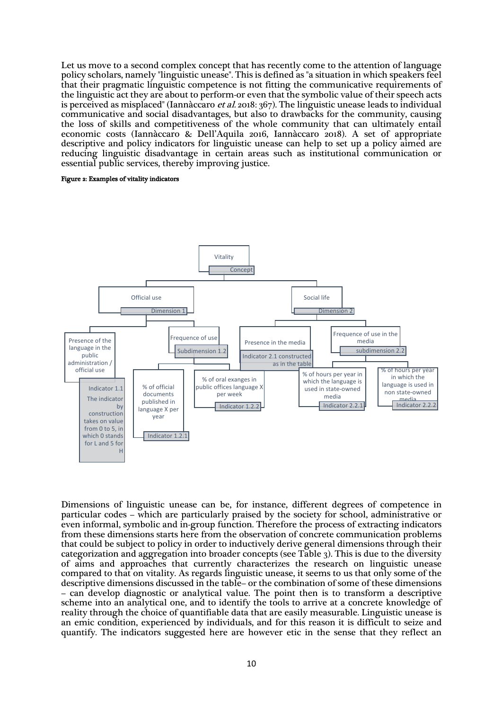Let us move to a second complex concept that has recently come to the attention of language policy scholars, namely "linguistic unease". This is defined as "a situation in which speakers feel that their pragmatic linguistic competence is not fitting the communicative requirements of the linguistic act they are about to perform-or even that the symbolic value of their speech acts is perceived as misplaced" (Iannàccaro et al. 2018: 367). The linguistic unease leads to individual communicative and social disadvantages, but also to drawbacks for the community, causing the loss of skills and competitiveness of the whole community that can ultimately entail economic costs (Iannàccaro & Dell'Aquila 2016, Iannàccaro 2018). A set of appropriate descriptive and policy indicators for linguistic unease can help to set up a policy aimed are reducing linguistic disadvantage in certain areas such as institutional communication or essential public services, thereby improving justice.

#### Figure 2: Examples of vitality indicators



Dimensions of linguistic unease can be, for instance, different degrees of competence in particular codes – which are particularly praised by the society for school, administrative or even informal, symbolic and in-group function. Therefore the process of extracting indicators from these dimensions starts here from the observation of concrete communication problems that could be subject to policy in order to inductively derive general dimensions through their categorization and aggregation into broader concepts (see Table 3). This is due to the diversity of aims and approaches that currently characterizes the research on linguistic unease compared to that on vitality. As regards linguistic unease, it seems to us that only some of the descriptive dimensions discussed in the table– or the combination of some of these dimensions – can develop diagnostic or analytical value. The point then is to transform a descriptive scheme into an analytical one, and to identify the tools to arrive at a concrete knowledge of reality through the choice of quantifiable data that are easily measurable. Linguistic unease is an emic condition, experienced by individuals, and for this reason it is difficult to seize and quantify. The indicators suggested here are however etic in the sense that they reflect an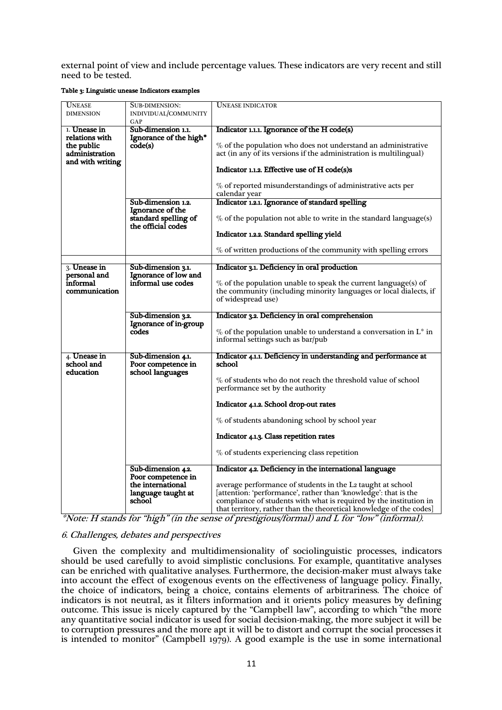external point of view and include percentage values. These indicators are very recent and still need to be tested.

#### Table 3: Linguistic unease Indicators examples

| UNEASE              | SUB-DIMENSION:         | <b>UNEASE INDICATOR</b>                                              |
|---------------------|------------------------|----------------------------------------------------------------------|
| <b>DIMENSION</b>    | INDIVIDUAL/COMMUNITY   |                                                                      |
|                     | GAP                    |                                                                      |
| 1. <b>Unease in</b> | Sub-dimension 1.1.     | Indicator 1.1.1. Ignorance of the H code(s)                          |
| relations with      | Ignorance of the high* |                                                                      |
| the public          | code(s)                | $\%$ of the population who does not understand an administrative     |
| administration      |                        | act (in any of its versions if the administration is multilingual)   |
| and with writing    |                        | Indicator 1.1.2. Effective use of H code(s)s                         |
|                     |                        |                                                                      |
|                     |                        | % of reported misunderstandings of administrative acts per           |
|                     |                        | calendar year                                                        |
|                     | Sub-dimension 1.2.     | Indicator 1.2.1. Ignorance of standard spelling                      |
|                     | Ignorance of the       |                                                                      |
|                     | standard spelling of   | $\%$ of the population not able to write in the standard language(s) |
|                     | the official codes     |                                                                      |
|                     |                        | Indicator 1.2.2. Standard spelling yield                             |
|                     |                        |                                                                      |
|                     |                        | % of written productions of the community with spelling errors       |
|                     |                        |                                                                      |
| 3. <b>Unease in</b> | Sub-dimension 3.1.     | Indicator 3.1. Deficiency in oral production                         |
| personal and        | Ignorance of low and   |                                                                      |
| informal            | informal use codes     | $\%$ of the population unable to speak the current language(s) of    |
| communication       |                        | the community (including minority languages or local dialects, if    |
|                     |                        | of widespread use)                                                   |
|                     | Sub-dimension 3.2.     | Indicator 3.2. Deficiency in oral comprehension                      |
|                     | Ignorance of in-group  |                                                                      |
|                     | codes                  | % of the population unable to understand a conversation in $L^*$ in  |
|                     |                        | informal settings such as bar/pub                                    |
|                     |                        |                                                                      |
| 4. <b>Unease in</b> | Sub-dimension 4.1.     | Indicator 4.1.1. Deficiency in understanding and performance at      |
| school and          | Poor competence in     | school                                                               |
| education           | school languages       |                                                                      |
|                     |                        | $\%$ of students who do not reach the threshold value of school      |
|                     |                        | performance set by the authority                                     |
|                     |                        |                                                                      |
|                     |                        | Indicator 4.1.2. School drop-out rates                               |
|                     |                        | % of students abandoning school by school year                       |
|                     |                        |                                                                      |
|                     |                        | Indicator 4.1.3. Class repetition rates                              |
|                     |                        |                                                                      |
|                     |                        | % of students experiencing class repetition                          |
|                     | Sub-dimension 4.2.     | Indicator 4.2. Deficiency in the international language              |
|                     | Poor competence in     |                                                                      |
|                     | the international      | average performance of students in the L2 taught at school           |
|                     | language taught at     | [attention: 'performance', rather than 'knowledge': that is the      |
|                     | school                 | compliance of students with what is required by the institution in   |
|                     |                        | that territory, rather than the theoretical knowledge of the codes]  |

\*Note: H stands for "high" (in the sense of prestigious/formal) and L for "low" (informal).

# 6. Challenges, debates and perspectives

Given the complexity and multidimensionality of sociolinguistic processes, indicators should be used carefully to avoid simplistic conclusions. For example, quantitative analyses can be enriched with qualitative analyses. Furthermore, the decision-maker must always take into account the effect of exogenous events on the effectiveness of language policy. Finally, the choice of indicators, being a choice, contains elements of arbitrariness. The choice of indicators is not neutral, as it filters information and it orients policy measures by defining outcome. This issue is nicely captured by the "Campbell law", according to which "the more any quantitative social indicator is used for social decision-making, the more subject it will be to corruption pressures and the more apt it will be to distort and corrupt the social processes it is intended to monitor" (Campbell 1979). A good example is the use in some international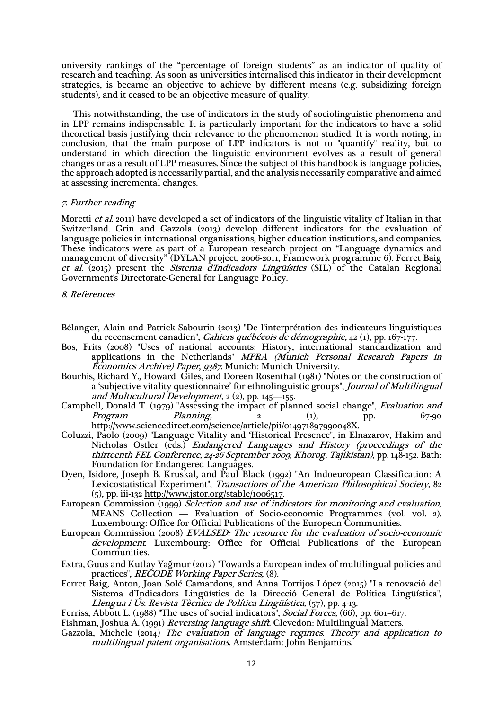university rankings of the "percentage of foreign students" as an indicator of quality of research and teaching. As soon as universities internalised this indicator in their development strategies, is became an objective to achieve by different means (e.g. subsidizing foreign students), and it ceased to be an objective measure of quality.

This notwithstanding, the use of indicators in the study of sociolinguistic phenomena and in LPP remains indispensable. It is particularly important for the indicators to have a solid theoretical basis justifying their relevance to the phenomenon studied. It is worth noting, in conclusion, that the main purpose of LPP indicators is not to "quantify" reality, but to understand in which direction the linguistic environment evolves as a result of general changes or as a result of LPP measures. Since the subject of this handbook is language policies, the approach adopted is necessarily partial, and the analysis necessarily comparative and aimed at assessing incremental changes.

#### 7. Further reading

Moretti et al. 2011) have developed a set of indicators of the linguistic vitality of Italian in that Switzerland. Grin and Gazzola (2013) develop different indicators for the evaluation of language policies in international organisations, higher education institutions, and companies. These indicators were as part of a European research project on "Language dynamics and management of diversity" (DYLAN project, 2006-2011, Framework programme 6). Ferret Baig et al. (2015) present the Sistema d'Indicadors Lingüístics (SIL) of the Catalan Regional Government's Directorate-General for Language Policy.

8. References

- Bélanger, Alain and Patrick Sabourin (2013) "De l'interprétation des indicateurs linguistiques du recensement canadien", *Cahiers québécois de démographie*, 42 (1), pp. 167-177.
- Bos, Frits (2008) "Uses of national accounts: History, international standardization and applications in the Netherlands" MPRA (Munich Personal Research Papers in Economics Archive) Paper, 9387. Munich: Munich University.
- Bourhis, Richard Y., Howard Giles, and Doreen Rosenthal (1981) "Notes on the construction of a 'subjective vitality questionnaire' for ethnolinguistic groups", Journal of Multilingual and Multicultural Development,  $2(2)$ , pp. 145-155.
- Campbell, Donald T. (1979) "Assessing the impact of planned social change", Evaluation and Program Planning, 2 (1), pp. 67-90 http://www.sciencedirect.com/science/article/pii/014971897990048X.
- Coluzzi, Paolo (2009) "Language Vitality and 'Historical Presence", in Elnazarov, Hakim and Nicholas Ostler (eds.) Endangered Languages and History (proceedings of the thirteenth FEL Conference, 24-26 September 2009, Khorog, Tajikistan), pp. 148-152. Bath: Foundation for Endangered Languages.
- Dyen, Isidore, Joseph B. Kruskal, and Paul Black (1992) "An Indoeuropean Classification: A Lexicostatistical Experiment", Transactions of the American Philosophical Society, 82 (5), pp. iii-132 http://www.jstor.org/stable/1006517.
- European Commission (1999) Selection and use of indicators for monitoring and evaluation, MEANS Collection — Evaluation of Socio-economic Programmes (vol. vol. 2). Luxembourg: Office for Official Publications of the European Communities.
- European Commission (2008) EVALSED: The resource for the evaluation of socio-economic development. Luxembourg: Office for Official Publications of the European Communities.
- Extra, Guus and Kutlay Yağmur (2012) "Towards a European index of multilingual policies and practices", RECODE Working Paper Series, (8).
- Ferret Baig, Anton, Joan Solé Camardons, and Anna Torrijos López (2015) "La renovació del Sistema d'Indicadors Lingüístics de la Direcció General de Política Lingüística", Llengua i Ús. Revista Tècnica de Política Lingüística, (57), pp. 4-13.

Ferriss, Abbott L. (1988) "The uses of social indicators", Social Forces, (66), pp. 601-617.

Fishman, Joshua A. (1991) Reversing language shift. Clevedon: Multilingual Matters.

Gazzola, Michele (2014) The evaluation of language regimes. Theory and application to multilingual patent organisations. Amsterdam: John Benjamins.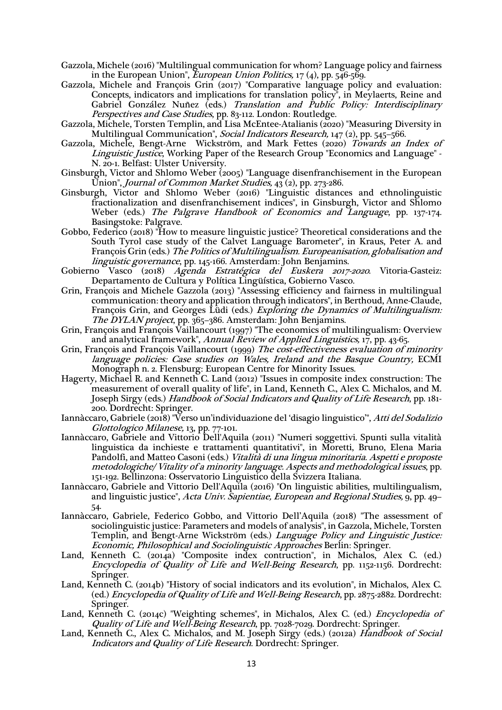Gazzola, Michele (2016) "Multilingual communication for whom? Language policy and fairness in the European Union", *European Union Politics*,  $17(4)$ , pp.  $546-569$ .

- Gazzola, Michele and François Grin (2017) "Comparative language policy and evaluation: Concepts, indicators and implications for translation policy", in Meylaerts, Reine and Gabriel González Nuñez (eds.) Translation and Public Policy: Interdisciplinary Perspectives and Case Studies, pp. 83-112. London: Routledge.
- Gazzola, Michele, Torsten Templin, and Lisa McEntee-Atalianis (2020) "Measuring Diversity in Multilingual Communication", *Social Indicators Research*, 147 (2), pp. 545–566.
- Gazzola, Michele, Bengt-Arne Wickström, and Mark Fettes (2020) Towards an Index of Linguistic Justice, Working Paper of the Research Group "Economics and Language" - N. 20-1. Belfast: Ulster University.
- Ginsburgh, Victor and Shlomo Weber (2005) "Language disenfranchisement in the European Union", *Journal of Common Market Studies*,  $43(2)$ , pp. 273-286.
- Ginsburgh, Victor and Shlomo Weber (2016) "Linguistic distances and ethnolinguistic fractionalization and disenfranchisement indices", in Ginsburgh, Victor and Shlomo Weber (eds.) The Palgrave Handbook of Economics and Language, pp. 137-174. Basingstoke: Palgrave.
- Gobbo, Federico (2018) "How to measure linguistic justice? Theoretical considerations and the South Tyrol case study of the Calvet Language Barometer", in Kraus, Peter A. and François Grin (eds.) The Politics of Multilingualism. Europeanisation, globalisation and linguistic governance, pp. 145-166. Amsterdam: John Benjamins.
- Gobierno Vasco (2018) Agenda Estratégica del Euskera 2017-2020. Vitoria-Gasteiz: Departamento de Cultura y Política Lingüística, Gobierno Vasco.
- Grin, François and Michele Gazzola (2013) "Assessing efficiency and fairness in multilingual communication: theory and application through indicators", in Berthoud, Anne-Claude, François Grin, and Georges Lüdi (eds.) Exploring the Dynamics of Multilingualism: The DYLAN project, pp. 365-386. Amsterdam: John Benjamins.
- Grin, François and François Vaillancourt (1997) "The economics of multilingualism: Overview and analytical framework", Annual Review of Applied Linguistics, 17, pp. 43-65.
- Grin, François and François Vaillancourt (1999) The cost-effectiveness evaluation of minority language policies: Case studies on Wales, Ireland and the Basque Country, ECMI Monograph n. 2. Flensburg: European Centre for Minority Issues.
- Hagerty, Michael R. and Kenneth C. Land (2012) "Issues in composite index construction: The measurement of overall quality of life", in Land, Kenneth C., Alex C. Michalos, and M. Joseph Sirgy (eds.) Handbook of Social Indicators and Quality of Life Research, pp. 181-200. Dordrecht: Springer.
- Iannàccaro, Gabriele (2018) "Verso un'individuazione del 'disagio linguistico'", Atti del Sodalizio Glottologico Milanese, 13, pp. 77-101.
- Iannàccaro, Gabriele and Vittorio Dell'Aquila (2011) "Numeri soggettivi. Spunti sulla vitalità linguistica da inchieste e trattamenti quantitativi", in Moretti, Bruno, Elena Maria Pandolfi, and Matteo Casoni (eds.) Vitalità di una lingua minoritaria. Aspetti e proposte metodologiche/ Vitality of a minority language. Aspects and methodological issues, pp. 151-192. Bellinzona: Osservatorio Linguistico della Svizzera Italiana.
- Iannàccaro, Gabriele and Vittorio Dell'Aquila (2016) "On linguistic abilities, multilingualism, and linguistic justice", Acta Univ. Sapientiae, European and Regional Studies, 9, pp. 49– 54.
- Iannàccaro, Gabriele, Federico Gobbo, and Vittorio Dell'Aquila (2018) "The assessment of sociolinguistic justice: Parameters and models of analysis", in Gazzola, Michele, Torsten Templin, and Bengt-Arne Wickström (eds.) Language Policy and Linguistic Justice: Economic, Philosophical and Sociolinguistic Approaches Berlin: Springer.
- Land, Kenneth C. (2014a) "Composite index contruction", in Michalos, Alex C. (ed.) Encyclopedia of Quality of Life and Well-Being Research, pp. 1152-1156. Dordrecht: Springer.
- Land, Kenneth C. (2014b) "History of social indicators and its evolution", in Michalos, Alex C. (ed.) Encyclopedia of Quality of Life and Well-Being Research, pp. 2875-2882. Dordrecht: Springer.
- Land, Kenneth C. (2014c) "Weighting schemes", in Michalos, Alex C. (ed.) *Encyclopedia of* Quality of Life and Well-Being Research, pp. 7028-7029. Dordrecht: Springer.
- Land, Kenneth C., Alex C. Michalos, and M. Joseph Sirgy (eds.) (2012a) *Handbook of Social* Indicators and Quality of Life Research. Dordrecht: Springer.